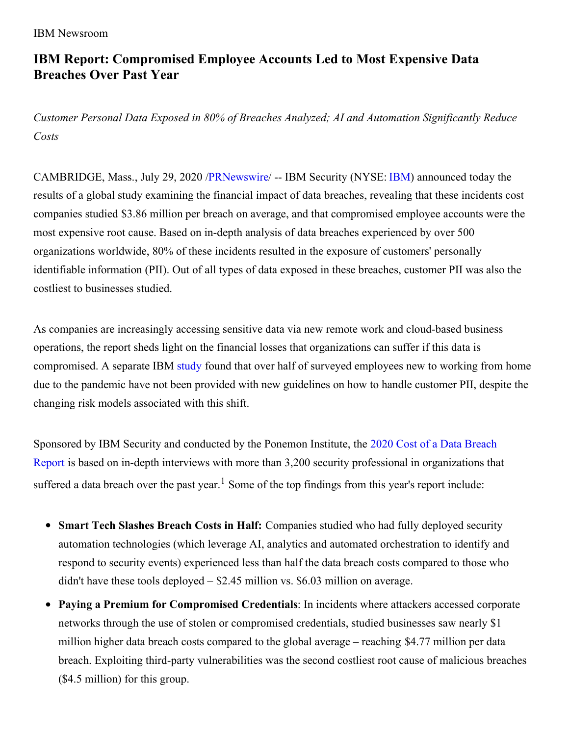#### IBM Newsroom

# **IBM Report: Compromised Employee Accounts Led to Most Expensive Data Breaches Over Past Year**

*Customer Personal Data Exposed in 80% of Breaches Analyzed; AI and Automation Significantly Reduce Costs*

CAMBRIDGE, Mass., July 29, 2020 [/PRNewswire](http://www.prnewswire.com/)/ -- IBM Security (NYSE: [IBM](https://c212.net/c/link/?t=0&l=en&o=2870072-1&h=2226188927&u=http%3A%2F%2Fwww.ibm.com%2Finvestor&a=IBM)) announced today the results of a global study examining the financial impact of data breaches, revealing that these incidents cost companies studied \$3.86 million per breach on average, and that compromised employee accounts were the most expensive root cause. Based on in-depth analysis of data breaches experienced by over 500 organizations worldwide, 80% of these incidents resulted in the exposure of customers' personally identifiable information (PII). Out of all types of data exposed in these breaches, customer PII was also the costliest to businesses studied.

As companies are increasingly accessing sensitive data via new remote work and cloud-based business operations, the report sheds light on the financial losses that organizations can suffer if this data is compromised. A separate IBM [study](https://c212.net/c/link/?t=0&l=en&o=2870072-1&h=3632704465&u=https%3A%2F%2Fnewsroom.ibm.com%2F2020-06-22-IBM-Security-Study-Finds-Employees-New-to-Working-from-Home-Pose-Security-Risk&a=study) found that over half of surveyed employees new to working from home due to the pandemic have not been provided with new guidelines on how to handle customer PII, despite the changing risk models associated with this shift.

Sponsored by IBM Security and conducted by the Ponemon Institute, the 2020 Cost of a Data Breach Report is based on in-depth interviews with more than 3,200 security professional in [organizations](https://c212.net/c/link/?t=0&l=en&o=2870072-1&h=3119533036&u=https%3A%2F%2Fwww.ibm.com%2Fsecurity%2Fdigital-assets%2Fcost-data-breach-report&a=2020+Cost+of+a+Data+Breach+Report) that suffered a data breach over the past year.<sup>1</sup> Some of the top findings from this year's report include:

- **Smart Tech Slashes Breach Costs in Half:** Companies studied who had fully deployed security automation technologies (which leverage AI, analytics and automated orchestration to identify and respond to security events) experienced less than half the data breach costs compared to those who didn't have these tools deployed – \$2.45 million vs. \$6.03 million on average.
- **Paying a Premium for Compromised Credentials**: In incidents where attackers accessed corporate networks through the use of stolen or compromised credentials, studied businesses saw nearly \$1 million higher data breach costs compared to the global average – reaching \$4.77 million per data breach. Exploiting third-party vulnerabilities was the second costliest root cause of malicious breaches (\$4.5 million) for this group.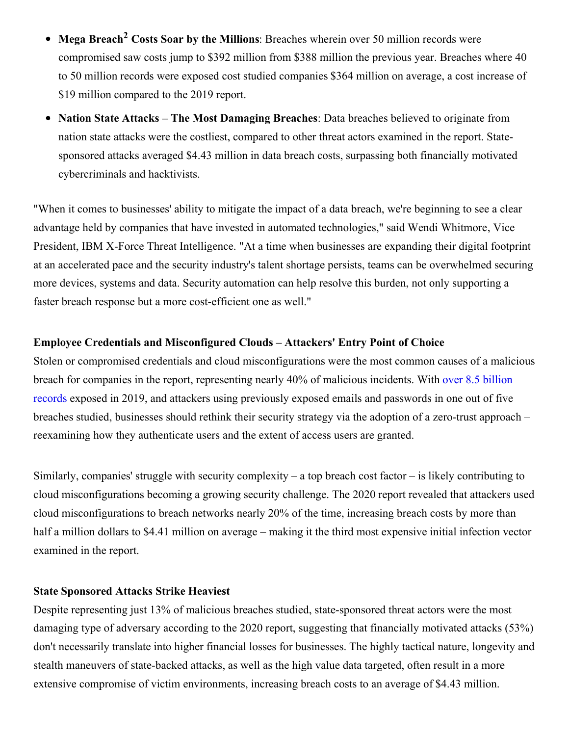- **Mega Breach <sup>2</sup> Costs Soar by the Millions**: Breaches wherein over 50 million records were  $\bullet$ compromised saw costs jump to \$392 million from \$388 million the previous year. Breaches where 40 to 50 million records were exposed cost studied companies \$364 million on average, a cost increase of \$19 million compared to the 2019 report.
- **Nation State Attacks – The Most Damaging Breaches**: Data breaches believed to originate from nation state attacks were the costliest, compared to other threat actors examined in the report. Statesponsored attacks averaged \$4.43 million in data breach costs, surpassing both financially motivated cybercriminals and hacktivists.

"When it comes to businesses' ability to mitigate the impact of a data breach, we're beginning to see a clear advantage held by companies that have invested in automated technologies," said Wendi Whitmore, Vice President, IBM X-Force Threat Intelligence. "At a time when businesses are expanding their digital footprint at an accelerated pace and the security industry's talent shortage persists, teams can be overwhelmed securing more devices, systems and data. Security automation can help resolve this burden, not only supporting a faster breach response but a more cost-efficient one as well."

## **Employee Credentials and Misconfigured Clouds – Attackers' Entry Point of Choice**

Stolen or compromised credentials and cloud misconfigurations were the most common causes of a malicious breach for companies in the report, [representing](https://c212.net/c/link/?t=0&l=en&o=2870072-1&h=2128962152&u=https%3A%2F%2Fnewsroom.ibm.com%2F2020-02-11-IBM-X-Force-Stolen-Credentials-and-Vulnerabilities-Weaponized-Against-Businesses-in-2019&a=over+8.5+billion+records) nearly 40% of malicious incidents. With over 8.5 billion records exposed in 2019, and attackers using previously exposed emails and passwords in one out of five breaches studied, businesses should rethink their security strategy via the adoption of a zero-trust approach – reexamining how they authenticate users and the extent of access users are granted.

Similarly, companies' struggle with security complexity – a top breach cost factor – is likely contributing to cloud misconfigurations becoming a growing security challenge. The 2020 report revealed that attackers used cloud misconfigurations to breach networks nearly 20% of the time, increasing breach costs by more than half a million dollars to \$4.41 million on average – making it the third most expensive initial infection vector examined in the report.

#### **State Sponsored Attacks Strike Heaviest**

Despite representing just 13% of malicious breaches studied, state-sponsored threat actors were the most damaging type of adversary according to the 2020 report, suggesting that financially motivated attacks (53%) don't necessarily translate into higher financial losses for businesses. The highly tactical nature, longevity and stealth maneuvers of state-backed attacks, as well as the high value data targeted, often result in a more extensive compromise of victim environments, increasing breach costs to an average of \$4.43 million.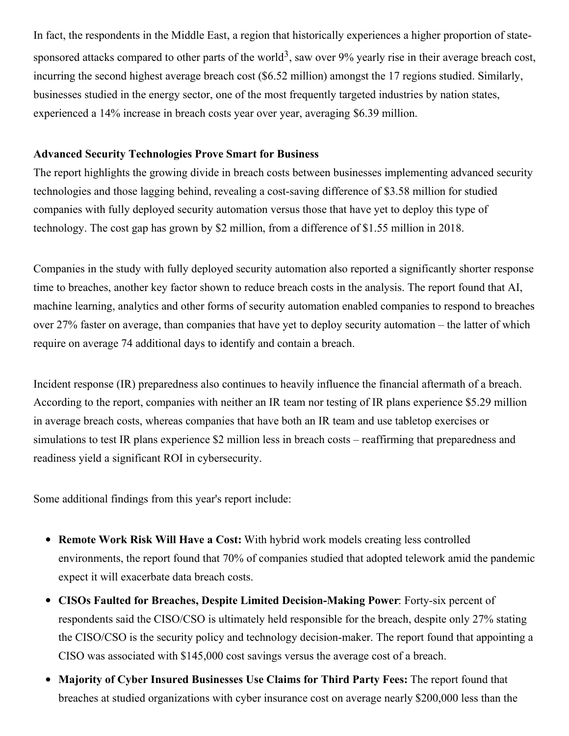In fact, the respondents in the Middle East, a region that historically experiences a higher proportion of statesponsored attacks compared to other parts of the world<sup>3</sup>, saw over 9% yearly rise in their average breach cost, incurring the second highest average breach cost (\$6.52 million) amongst the 17 regions studied. Similarly, businesses studied in the energy sector, one of the most frequently targeted industries by nation states, experienced a 14% increase in breach costs year over year, averaging \$6.39 million.

## **Advanced Security Technologies Prove Smart for Business**

The report highlights the growing divide in breach costs between businesses implementing advanced security technologies and those lagging behind, revealing a cost-saving difference of \$3.58 million for studied companies with fully deployed security automation versus those that have yet to deploy this type of technology. The cost gap has grown by \$2 million, from a difference of \$1.55 million in 2018.

Companies in the study with fully deployed security automation also reported a significantly shorter response time to breaches, another key factor shown to reduce breach costs in the analysis. The report found that AI, machine learning, analytics and other forms of security automation enabled companies to respond to breaches over 27% faster on average, than companies that have yet to deploy security automation – the latter of which require on average 74 additional days to identify and contain a breach.

Incident response (IR) preparedness also continues to heavily influence the financial aftermath of a breach. According to the report, companies with neither an IR team nor testing of IR plans experience \$5.29 million in average breach costs, whereas companies that have both an IR team and use tabletop exercises or simulations to test IR plans experience \$2 million less in breach costs – reaffirming that preparedness and readiness yield a significant ROI in cybersecurity.

Some additional findings from this year's report include:

- **Remote Work Risk Will Have a Cost:** With hybrid work models creating less controlled environments, the report found that 70% of companies studied that adopted telework amid the pandemic expect it will exacerbate data breach costs.
- **CISOs Faulted for Breaches, Despite Limited Decision-Making Power**: Forty-six percent of respondents said the CISO/CSO is ultimately held responsible for the breach, despite only 27% stating the CISO/CSO is the security policy and technology decision-maker. The report found that appointing a CISO was associated with \$145,000 cost savings versus the average cost of a breach.
- **Majority of Cyber Insured Businesses Use Claims for Third Party Fees:** The report found that breaches at studied organizations with cyber insurance cost on average nearly \$200,000 less than the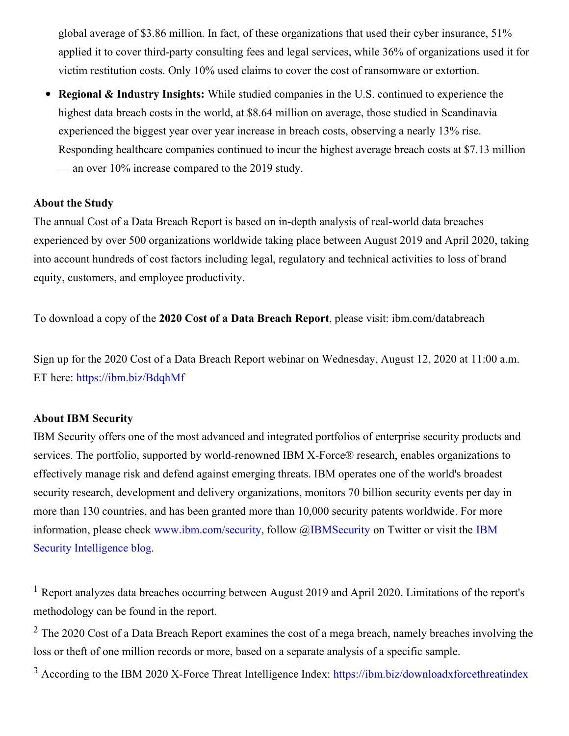global average of \$3.86 million. In fact, of these organizations that used their cyber insurance, 51% applied it to cover third-party consulting fees and legal services, while 36% of organizations used it for victim restitution costs. Only 10% used claims to cover the cost of ransomware or extortion.

**Regional & Industry Insights:** While studied companies in the U.S. continued to experience the highest data breach costs in the world, at \$8.64 million on average, those studied in Scandinavia experienced the biggest year over year increase in breach costs, observing a nearly 13% rise. Responding healthcare companies continued to incur the highest average breach costs at \$7.13 million — an over 10% increase compared to the 2019 study.

#### **About the Study**

The annual Cost of a Data Breach Report is based on in-depth analysis of real-world data breaches experienced by over 500 organizations worldwide taking place between August 2019 and April 2020, taking into account hundreds of cost factors including legal, regulatory and technical activities to loss of brand equity, customers, and employee productivity.

To download a copy of the **2020 Cost of a Data Breach Report**, please visit: ibm.com/databreach

Sign up for the 2020 Cost of a Data Breach Report webinar on Wednesday, August 12, 2020 at 11:00 a.m. ET here: [https://ibm.biz/BdqhMf](https://c212.net/c/link/?t=0&l=en&o=2870072-1&h=2312725300&u=https%3A%2F%2Fibm.biz%2FBdqhMf&a=https%3A%2F%2Fibm.biz%2FBdqhMf)

# **About IBM Security**

IBM Security offers one of the most advanced and integrated portfolios of enterprise security products and services. The portfolio, supported by world-renowned IBM X-Force® research, enables organizations to effectively manage risk and defend against emerging threats. IBM operates one of the world's broadest security research, development and delivery organizations, monitors 70 billion security events per day in more than 130 countries, and has been granted more than 10,000 security patents worldwide. For more information, please check [www.ibm.com/security,](https://c212.net/c/link/?t=0&l=en&o=2870072-1&h=569933693&u=https%3A%2F%2Fc212.net%2Fc%2Flink%2F%3Ft%3D0%26l%3Den%26o%3D2716064-1%26h%3D1044586607%26u%3Dhttp%253A%252F%252Fsecurityintelligence.com%252F%26a%3DIBM%2BSecurity%2BIntelligence%2Bblog&a=IBM+Security+Intelligence+blog) follow @[IBMSecurity](https://c212.net/c/link/?t=0&l=en&o=2870072-1&h=1751050002&u=https%3A%2F%2Fc212.net%2Fc%2Flink%2F%3Ft%3D0%26l%3Den%26o%3D2716064-1%26h%3D575778150%26u%3Dhttps%253A%252F%252Ftwitter.com%252Fibmsecurity%26a%3DIBMSecurity&a=IBMSecurity) on Twitter or visit the IBM Security Intelligence blog.

<sup>1</sup> Report analyzes data breaches occurring between August 2019 and April 2020. Limitations of the report's methodology can be found in the report.

 $2$  The 2020 Cost of a Data Breach Report examines the cost of a mega breach, namely breaches involving the loss or theft of one million records or more, based on a separate analysis of a specific sample.

<sup>3</sup> According to the IBM 2020 X-Force Threat Intelligence Index: [https://ibm.biz/downloadxforcethreatindex](https://c212.net/c/link/?t=0&l=en&o=2870072-1&h=1319409788&u=https%3A%2F%2Fibm.biz%2Fdownloadxforcethreatindex&a=https%3A%2F%2Fibm.biz%2Fdownloadxforcethreatindex)